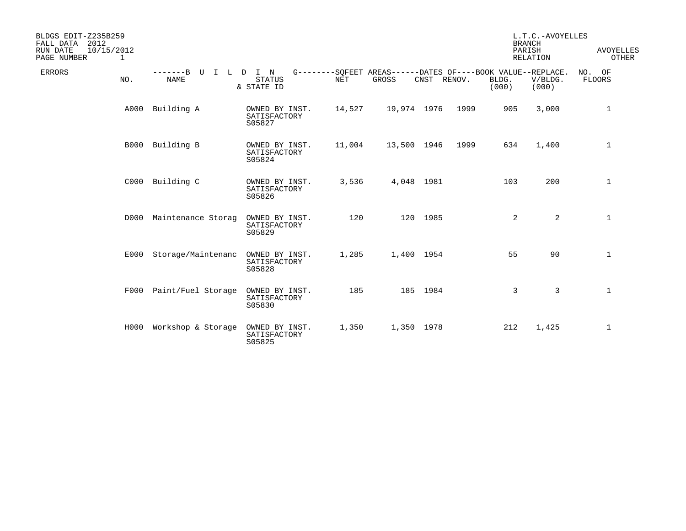| BLDGS EDIT-Z235B259<br>2012<br>FALL DATA<br>RUN DATE<br>10/15/2012<br>PAGE NUMBER<br>1 |                                              |                                          |            |                                                                      |          |        |                | L.T.C.-AVOYELLES<br><b>BRANCH</b><br>PARISH<br><b>RELATION</b> | <b>AVOYELLES</b><br>OTHER |
|----------------------------------------------------------------------------------------|----------------------------------------------|------------------------------------------|------------|----------------------------------------------------------------------|----------|--------|----------------|----------------------------------------------------------------|---------------------------|
| <b>ERRORS</b><br>NO.                                                                   | -------B<br>U<br>$\mathbf{I}$<br><b>NAME</b> | L D I N<br><b>STATUS</b><br>& STATE ID   | <b>NET</b> | G--------SQFEET AREAS------DATES OF----BOOK VALUE--REPLACE.<br>GROSS | CNST     | RENOV. | BLDG.<br>(000) | V/BLDG.<br>(000)                                               | NO. OF<br>FLOORS          |
| A000                                                                                   | Building A                                   | OWNED BY INST.<br>SATISFACTORY<br>S05827 | 14,527     | 19,974 1976                                                          |          | 1999   | 905            | 3,000                                                          | 1                         |
|                                                                                        | B000 Building B                              | OWNED BY INST.<br>SATISFACTORY<br>S05824 | 11,004     | 13,500 1946                                                          |          | 1999   | 634            | 1,400                                                          | $\mathbf 1$               |
|                                                                                        | C000 Building C                              | OWNED BY INST.<br>SATISFACTORY<br>S05826 | 3,536      | 4,048 1981                                                           |          |        | 103            | 200                                                            | $\mathbf{1}$              |
| D000                                                                                   | Maintenance Storag                           | OWNED BY INST.<br>SATISFACTORY<br>S05829 | 120        |                                                                      | 120 1985 |        | 2              | $\overline{2}$                                                 | $\mathbf 1$               |
|                                                                                        | E000 Storage/Maintenanc                      | OWNED BY INST.<br>SATISFACTORY<br>S05828 | 1,285      | 1,400 1954                                                           |          |        | 55             | 90                                                             | $\mathbf{1}$              |
| F000                                                                                   | Paint/Fuel Storage                           | OWNED BY INST.<br>SATISFACTORY<br>S05830 | 185        |                                                                      | 185 1984 |        | 3              | 3                                                              | $\mathbf 1$               |
| H000                                                                                   | Workshop & Storage OWNED BY INST.            | SATISFACTORY<br>S05825                   | 1,350      | 1,350 1978                                                           |          |        | 212            | 1,425                                                          | $\mathbf 1$               |